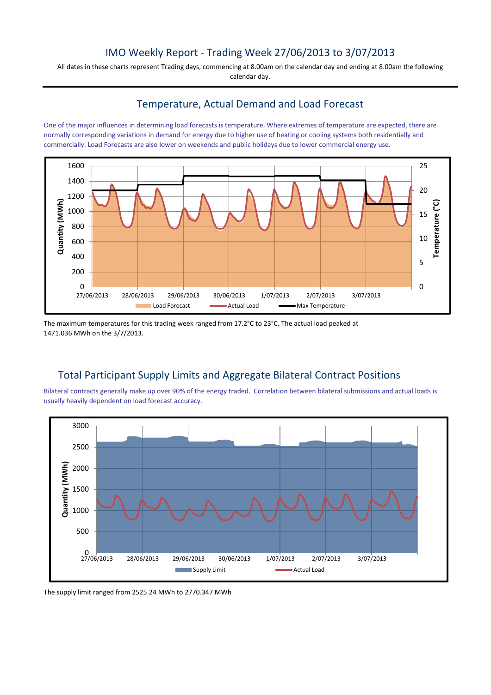## IMO Weekly Report - Trading Week 27/06/2013 to 3/07/2013

All dates in these charts represent Trading days, commencing at 8.00am on the calendar day and ending at 8.00am the following calendar day.

## Temperature, Actual Demand and Load Forecast

One of the major influences in determining load forecasts is temperature. Where extremes of temperature are expected, there are normally corresponding variations in demand for energy due to higher use of heating or cooling systems both residentially and commercially. Load Forecasts are also lower on weekends and public holidays due to lower commercial energy use.



The maximum temperatures for this trading week ranged from 17.2°C to 23°C. The actual load peaked at 1471.036 MWh on the 3/7/2013.

# Total Participant Supply Limits and Aggregate Bilateral Contract Positions

Bilateral contracts generally make up over 90% of the energy traded. Correlation between bilateral submissions and actual loads is usually heavily dependent on load forecast accuracy.



The supply limit ranged from 2525.24 MWh to 2770.347 MWh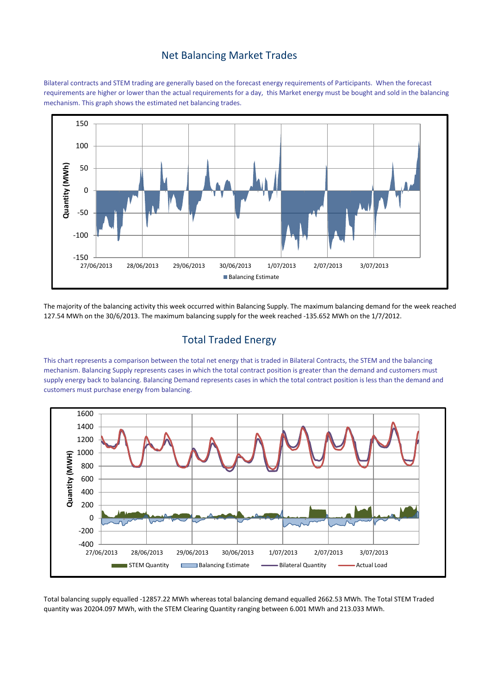#### Net Balancing Market Trades

Bilateral contracts and STEM trading are generally based on the forecast energy requirements of Participants. When the forecast requirements are higher or lower than the actual requirements for a day, this Market energy must be bought and sold in the balancing mechanism. This graph shows the estimated net balancing trades.



The majority of the balancing activity this week occurred within Balancing Supply. The maximum balancing demand for the week reached 127.54 MWh on the 30/6/2013. The maximum balancing supply for the week reached -135.652 MWh on the 1/7/2012.

## Total Traded Energy

This chart represents a comparison between the total net energy that is traded in Bilateral Contracts, the STEM and the balancing mechanism. Balancing Supply represents cases in which the total contract position is greater than the demand and customers must supply energy back to balancing. Balancing Demand represents cases in which the total contract position is less than the demand and customers must purchase energy from balancing.



Total balancing supply equalled -12857.22 MWh whereas total balancing demand equalled 2662.53 MWh. The Total STEM Traded quantity was 20204.097 MWh, with the STEM Clearing Quantity ranging between 6.001 MWh and 213.033 MWh.